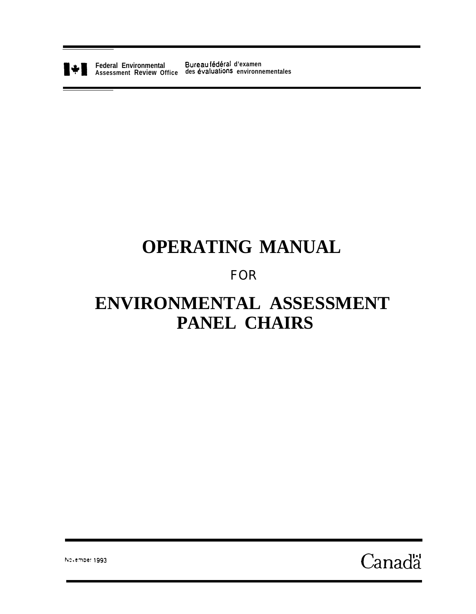

**Federal Environmental Bureau fédéral d'examen Assessment Review Office des baluations environnementales**

# **OPERATING MANUAL**

# FOR

# **ENVIRONMENTAL ASSESSMENT PANEL CHAIRS**

 $\alpha$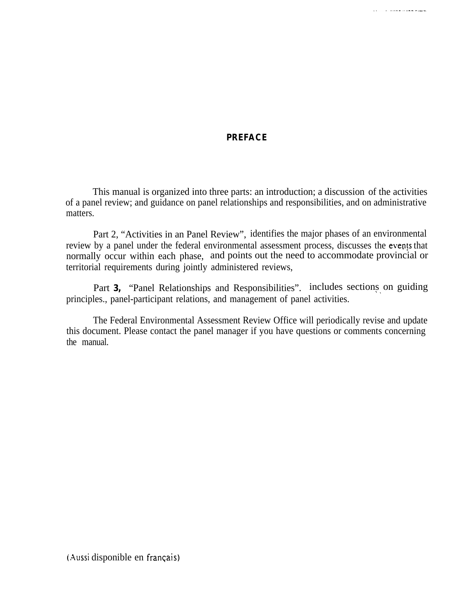#### **PREFACE**

**The contract of the company of the company** 

This manual is organized into three parts: an introduction; a discussion of the activities of a panel review; and guidance on panel relationships and responsibilities, and on administrative matters.

Part 2, "Activities in an Panel Review", identifies the major phases of an environmental review by a panel under the federal environmental assessment process, discusses the events that normally occur within each phase, and points out the need to accommodate provincial or territorial requirements during jointly administered reviews,

Part **3,** "Panel Relationships and Responsibilities". includes sections on guiding principles., panel-participant relations, and management of panel activities.

The Federal Environmental Assessment Review Office will periodically revise and update this document. Please contact the panel manager if you have questions or comments concerning the manual.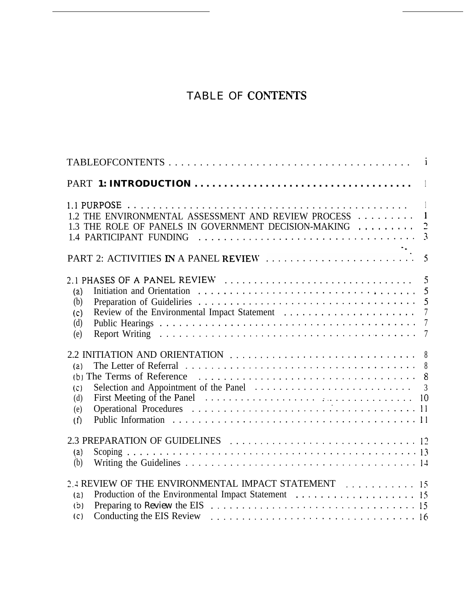# TABLE OF CONTENTS

| $\Box$<br>1.2 THE ENVIRONMENTAL ASSESSMENT AND REVIEW PROCESS  1<br>1.3 THE ROLE OF PANELS IN GOVERNMENT DECISION-MAKING  2                                                                                                                                    |
|----------------------------------------------------------------------------------------------------------------------------------------------------------------------------------------------------------------------------------------------------------------|
|                                                                                                                                                                                                                                                                |
| (a)<br>$\overline{5}$<br>(b)<br>(c)<br>(d)<br>(e)                                                                                                                                                                                                              |
| The Letter of Referral $\ldots \ldots \ldots \ldots \ldots \ldots \ldots \ldots \ldots \ldots \ldots$<br>(a)<br>(b) The Terms of Reference $\ldots \ldots \ldots \ldots \ldots \ldots \ldots \ldots \ldots \ldots \ldots \ldots 8$<br>(c)<br>(d)<br>(e)<br>(f) |
| (a)<br>(b)                                                                                                                                                                                                                                                     |
| 2.4 REVIEW OF THE ENVIRONMENTAL IMPACT STATEMENT 15<br>(2)<br>(b)<br>(c)                                                                                                                                                                                       |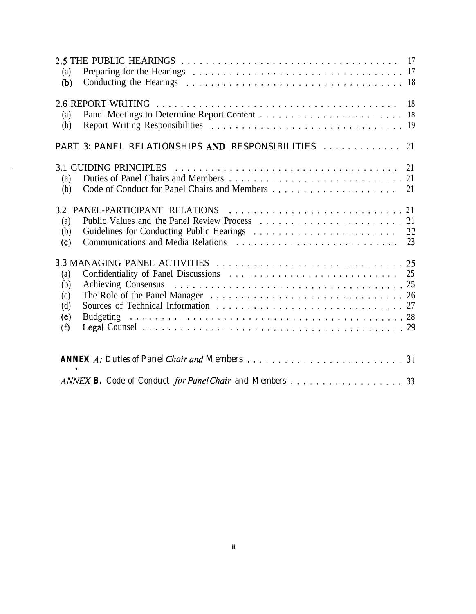| (a)<br>(b)                                              |  |  |  |  |
|---------------------------------------------------------|--|--|--|--|
| (a)<br>(b)                                              |  |  |  |  |
| PART 3: PANEL RELATIONSHIPS AND RESPONSIBILITIES  21    |  |  |  |  |
| (a)<br>(b)                                              |  |  |  |  |
| (a)<br>(b)<br>(c)                                       |  |  |  |  |
| (a)<br>(b)<br>(c)<br>(d)<br>(e)<br>(f)                  |  |  |  |  |
|                                                         |  |  |  |  |
| ANNEX B. Code of Conduct for Panel Chair and Members 33 |  |  |  |  |

 $\sim 10^{-10}$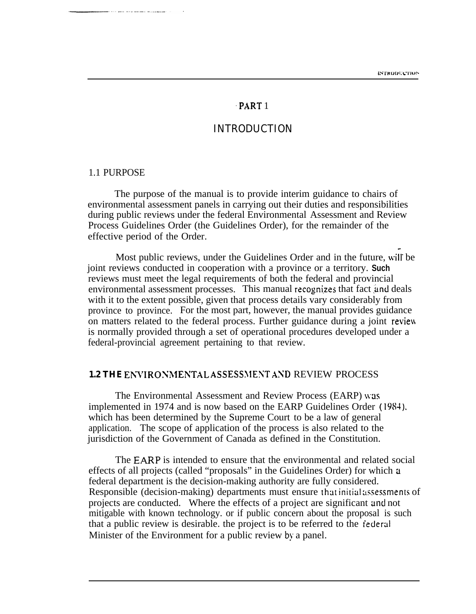#### .PART 1

#### INTRODUCTION

#### <span id="page-4-0"></span>1.1 PURPOSE

The purpose of the manual is to provide interim guidance to chairs of environmental assessment panels in carrying out their duties and responsibilities during public reviews under the federal Environmental Assessment and Review Process Guidelines Order (the Guidelines Order), for the remainder of the effective period of the Order.

Most public reviews, under the Guidelines Order and in the future, will be joint reviews conducted in cooperation with a province or a territory. **Such** reviews must meet the legal requirements of both the federal and provincial environmental assessment processes. This manual recognizes that fact and deals with it to the extent possible, given that process details vary considerably from province to province. For the most part, however, the manual provides guidance on matters related to the federal process. Further guidance during a joint review is normally provided through a set of operational procedures developed under a federal-provincial agreement pertaining to that review.

#### **1.2 THE ENVIRONMENTAL ASSESSMENT AND REVIEW PROCESS**

The Environmental Assessment and Review Process (EARP) was implemented in 1974 and is now based on the EARP Guidelines Order (1984). which has been determined by the Supreme Court to be a law of general application. The scope of application of the process is also related to the jurisdiction of the Government of Canada as defined in the Constitution.

The EARP is intended to ensure that the environmental and related social effects of all projects (called "proposals" in the Guidelines Order) for which a federal department is the decision-making authority are fully considered. Responsible (decision-making) departments must ensure that initial assessments of projects are conducted. Where the effects of a project are significant and not mitigable with known technology. or if public concern about the proposal is such that a public review is desirable, the project is to be referred to the federal Minister of the Environment for a public review by a panel.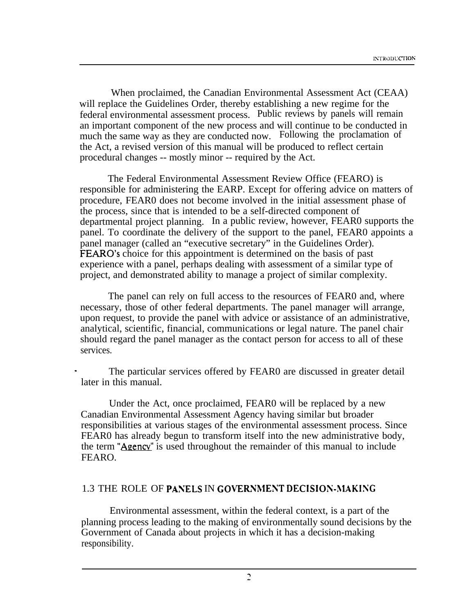When proclaimed, the Canadian Environmental Assessment Act (CEAA) will replace the Guidelines Order, thereby establishing a new regime for the federal environmental assessment process. Public reviews by panels will remain an important component of the new process and will continue to be conducted in much the same way as they are conducted now. Following the proclamation of the Act, a revised version of this manual will be produced to reflect certain procedural changes -- mostly minor -- required by the Act.

The Federal Environmental Assessment Review Office (FEARO) is responsible for administering the EARP. Except for offering advice on matters of procedure, FEAR0 does not become involved in the initial assessment phase of the process, since that is intended to be a self-directed component of departmental project planning. In a public review, however, FEAR0 supports the panel. To coordinate the delivery of the support to the panel, FEAR0 appoints a panel manager (called an "executive secretary" in the Guidelines Order). FEARO's choice for this appointment is determined on the basis of past experience with a panel, perhaps dealing with assessment of a similar type of project, and demonstrated ability to manage a project of similar complexity.

The panel can rely on full access to the resources of FEAR0 and, where necessary, those of other federal departments. The panel manager will arrange, upon request, to provide the panel with advice or assistance of an administrative, analytical, scientific, financial, communications or legal nature. The panel chair should regard the panel manager as the contact person for access to all of these services.

The particular services offered by FEAR0 are discussed in greater detail later in this manual.

Under the Act, once proclaimed, FEAR0 will be replaced by a new Canadian Environmental Assessment Agency having similar but broader responsibilities at various stages of the environmental assessment process. Since FEAR0 has already begun to transform itself into the new administrative body, the term "Agency" is used throughout the remainder of this manual to include FEARO.

#### 1.3 THE ROLE OF PANELS IN GOVERNMENT DECISION-MAKING

Environmental assessment, within the federal context, is a part of the planning process leading to the making of environmentally sound decisions by the Government of Canada about projects in which it has a decision-making responsibility.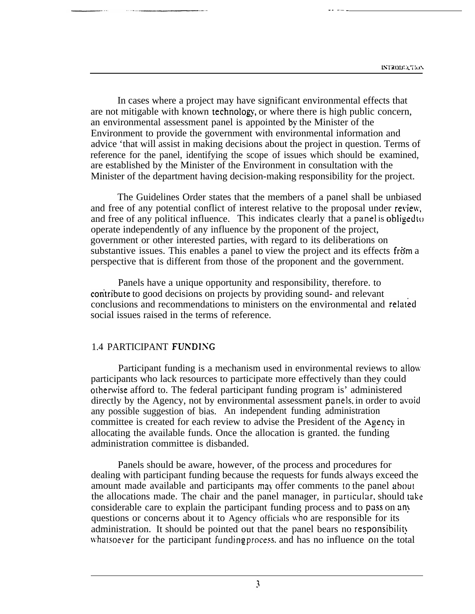-- \_\_\_\_

In cases where a project may have significant environmental effects that are not mitigable with known technology, or where there is high public concern, an environmental assessment panel is appointed by the Minister of the Environment to provide the government with environmental information and advice 'that will assist in making decisions about the project in question. Terms of reference for the panel, identifying the scope of issues which should be examined, are established by the Minister of the Environment in consultation with the Minister of the department having decision-making responsibility for the project.

The Guidelines Order states that the members of a panel shall be unbiased and free of any potential conflict of interest relative to the proposal under review, and free of any political influence. This indicates clearly that  $a$  panel is obliged to operate independently of any influence by the proponent of the project, government or other interested parties, with regard to its deliberations on substantive issues. This enables a panel to view the project and its effects from a perspective that is different from those of the proponent and the government.

Panels have a unique opportunity and responsibility, therefore. to con'tribute to good decisions on projects by providing sound- and relevant conclusions and recommendations to ministers on the environmental and relatid social issues raised in the terms of reference.

#### 1.4 PARTICIPANT FUNDING

Participant funding is a mechanism used in environmental reviews to allow participants who lack resources to participate more effectively than they could othenvise afford to. The federal participant funding program is' administered directly by the Agency, not by environmental assessment panels, in order to avoid any possible suggestion of bias. An independent funding administration committee is created for each review to advise the President of the Agency in allocating the available funds. Once the allocation is granted. the funding administration committee is disbanded.

Panels should be aware, however, of the process and procedures for dealing with participant funding because the requests for funds always exceed the amount made available and participants may offer comments to the panel about the allocations made. The chair and the panel manager, in particular, should take considerable care to explain the participant funding process and to pass on any questions or concerns about it to Agency officials who are responsible for its administration. It should be pointed out that the panel bears no responsibility wharsoever for the participant funding process, and has no influence on the total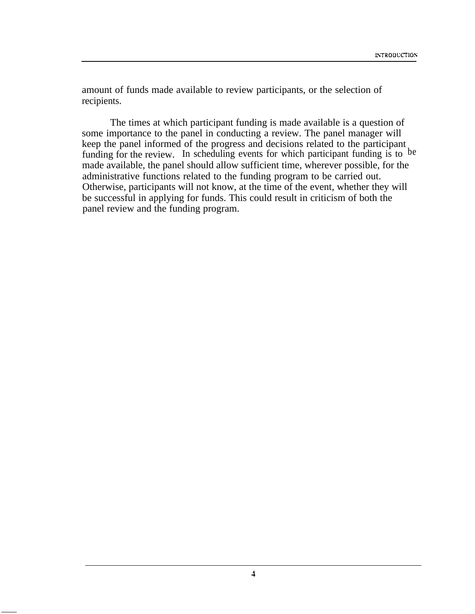amount of funds made available to review participants, or the selection of recipients.

The times at which participant funding is made available is a question of some importance to the panel in conducting a review. The panel manager will keep the panel informed of the progress and decisions related to the participant funding for the review. In scheduling events for which participant funding is to be made available, the panel should allow sufficient time, wherever possible, for the administrative functions related to the funding program to be carried out. Otherwise, participants will not know, at the time of the event, whether they will be successful in applying for funds. This could result in criticism of both the panel review and the funding program.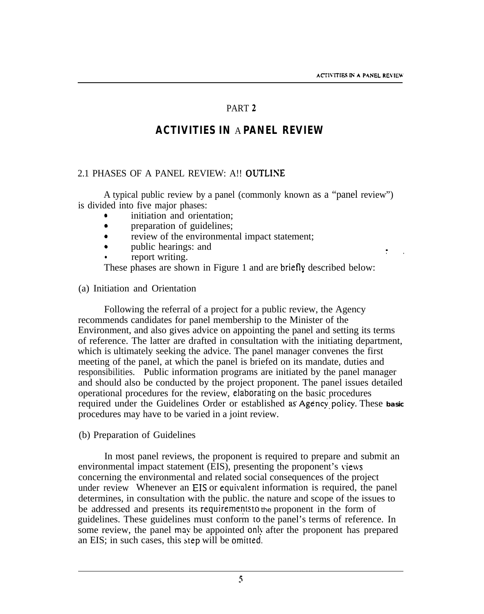$\mathbf{r}$ 

### PART 2

# **ACTIVITIES IN** A **PANEL REVIEW**

#### <span id="page-8-0"></span>2.1 PHASES OF A PANEL REVIEW: A!! OUTLiNE

A typical public review by a panel (commonly known as a "panel review") is divided into five major phases:

- initiation and orientation:
- preparation of guidelines;
- review of the environmental impact statement;
- public hearings: and
- report writing.

These phases are shown in Figure 1 and are briefly described below:

#### (a) Initiation and Orientation

Following the referral of a project for a public review, the Agency recommends candidates for panel membership to the Minister of the Environment, and also gives advice on appointing the panel and setting its terms of reference. The latter are drafted in consultation with the initiating department, which is ultimately seeking the advice. The panel manager convenes the first meeting of the panel, at which the panel is briefed on its mandate, duties and responsibilities. Public information programs are initiated by the panel manager and should also be conducted by the project proponent. The panel issues detailed operational procedures for the review, elaboraring on the basic procedures required under the Guidelines Order or established as Agency policy. These basic procedures may have to be varied in a joint review.

#### (b) Preparation of Guidelines

In most panel reviews, the proponent is required to prepare and submit an environmental impact statement (EIS), presenting the proponent's views concerning the environmental and related social consequences of the project under review Whenever an EIS or equivalent information is required, the panel determines, in consultation with the public. the nature and scope of the issues to be addressed and presents its requirements to the proponent in the form of guidelines. These guidelines must conform 10 the panel's terms of reference. In some review, the panel may be appointed only after the proponent has prepared an EIS; in such cases, this step will be omirted.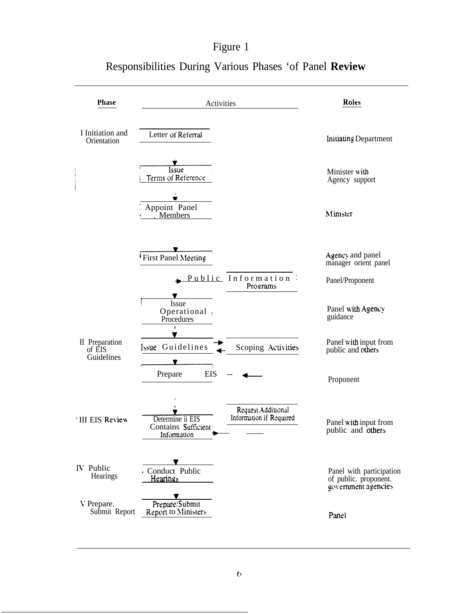# Figure 1

| <b>Phase</b>                           | Activities                                                                                                                                      | Roles                                                                    |
|----------------------------------------|-------------------------------------------------------------------------------------------------------------------------------------------------|--------------------------------------------------------------------------|
| I Initiation and<br>Orientation        | Letter of Referral                                                                                                                              | <b>Initiating Department</b>                                             |
|                                        | Issue<br>Terms of Reference                                                                                                                     | Minister with<br>Agency support                                          |
|                                        | ÷<br>Appoint Panel<br>Members                                                                                                                   | Minister                                                                 |
|                                        | First Panel Meeting                                                                                                                             | Agency and panel<br>manager orient panel                                 |
|                                        | Public Information<br>Programs                                                                                                                  | Panel/Proponent                                                          |
|                                        | Issue<br>Operational<br>Procedures<br>$\mathbf i$                                                                                               | Panel with Agency<br>guidance                                            |
| II Preparation<br>of EIS<br>Guidelines | Issue Guidelines<br>Scoping Activities                                                                                                          | Panel with input from<br>public and others                               |
|                                        | Prepare<br>EIS                                                                                                                                  | Proponent                                                                |
| <b>III EIS Review</b>                  | $\pmb{\mathfrak{g}}$<br>$\mathbf{r}$<br>Request Additional<br>Information if Required<br>Determine ii EIS<br>Contains Sufficient<br>Information | Panel with input from<br>public and others                               |
| IV Public<br>Hearings                  | v<br>Conduct Public<br><u>Hearings</u>                                                                                                          | Panel with participation<br>of public. proponent.<br>government agencies |
| V Prepare.<br>Submit Report            | Prepare/Submit<br><b>Report to Ministers</b>                                                                                                    | Panel                                                                    |

# Responsibilities During Various Phases 'of Panel **Review**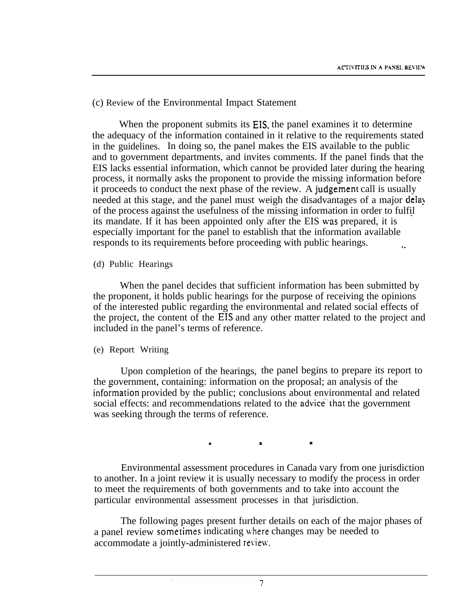#### (c) Review of the Environmental Impact Statement

When the proponent submits its EIS, the panel examines it to determine the adequacy of the information contained in it relative to the requirements stated in the guidelines. In doing so, the panel makes the EIS available to the public and to government departments, and invites comments. If the panel finds that the EIS lacks essential information, which cannot be provided later during the hearing process, it normally asks the proponent to provide the missing information before it proceeds to conduct the next phase of the review. A judgement call is usually needed at this stage, and the panel must weigh the disadvantages of a major dela) of the process against the usefulness of the missing information in order to fulfil its mandate. If it has been appointed only after the EIS was prepared, it is ' especially important for the panel to establish that the information available responds to its requirements before proceeding with public hearings.

#### (d) Public Hearings

When the panel decides that sufficient information has been submitted by the proponent, it holds public hearings for the purpose of receiving the opinions of the interested public regarding the environmental and related social effects of the project, the content of the EIS and any other matter related to the project and included in the panel's terms of reference.

#### (e) Report Writing

Upon completion of the hearings, the panel begins to prepare its report to the government, containing: information on the proposal; an analysis of the information provided by the public; conclusions about environmental and related social effects: and recommendations related to the advice that the government was seeking through the terms of reference.

 $\mathbf x$  . The set of  $\mathbf x$  is the set of  $\mathbf x$ 

Environmental assessment procedures in Canada vary from one jurisdiction to another. In a joint review it is usually necessary to modify the process in order to meet the requirements of both governments and to take into account the particular environmental assessment processes in that jurisdiction.

The following pages present further details on each of the major phases of a panel review sometimes indicating where changes may be needed to accommodate a jointly-administered review.

 $\overline{7}$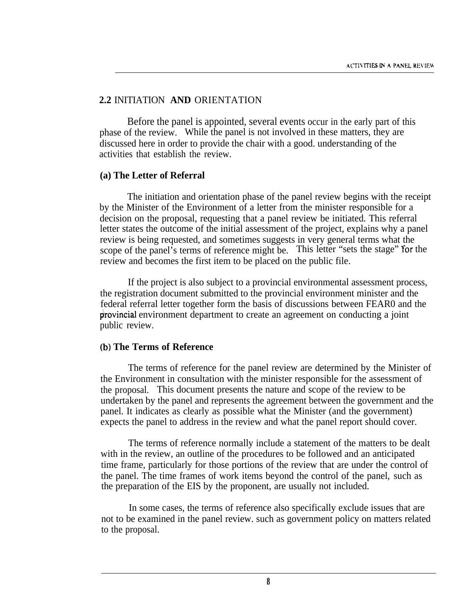#### **2.2** INITIATION **AND** ORIENTATION

Before the panel is appointed, several events occur in the early part of this phase of the review. While the panel is not involved in these matters, they are discussed here in order to provide the chair with a good. understanding of the activities that establish the review.

#### **(a) The Letter of Referral**

The initiation and orientation phase of the panel review begins with the receipt by the Minister of the Environment of a letter from the minister responsible for a decision on the proposal, requesting that a panel review be initiated. This referral letter states the outcome of the initial assessment of the project, explains why a panel review is being requested, and sometimes suggests in very general terms what the scope of the panel's terms of reference might be. This letter "sets the stage" for the review and becomes the first item to be placed on the public file.

If the project is also subject to a provincial environmental assessment process, the registration document submitted to the provincial environment minister and the federal referral letter together form the basis of discussions between FEAR0 and the provincial environment department to create an agreement on conducting a joint public review.

#### **(b) The Terms of Reference**

The terms of reference for the panel review are determined by the Minister of the Environment in consultation with the minister responsible for the assessment of the proposal. This document presents the nature and scope of the review to be undertaken by the panel and represents the agreement between the government and the panel. It indicates as clearly as possible what the Minister (and the government) expects the panel to address in the review and what the panel report should cover.

The terms of reference normally include a statement of the matters to be dealt with in the review, an outline of the procedures to be followed and an anticipated time frame, particularly for those portions of the review that are under the control of the panel. The time frames of work items beyond the control of the panel, such as the preparation of the EIS by the proponent, are usually not included.

In some cases, the terms of reference also specifically exclude issues that are not to be examined in the panel review. such as government policy on matters related to the proposal.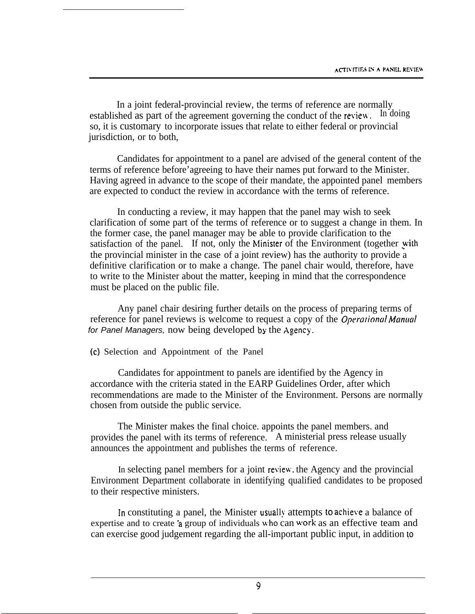In a joint federal-provincial review, the terms of reference are normally shed as part of the agreement governing the conduct of the review. In doing established as part of the agreement governing the conduct of the review. so, it is customary to incorporate issues that relate to either federal or provincial jurisdiction, or to both,

Candidates for appointment to a panel are advised of the general content of the terms of reference before'agreeing to have their names put forward to the Minister. Having agreed in advance to the scope of their mandate, the appointed panel members are expected to conduct the review in accordance with the terms of reference.

In conducting a review, it may happen that the panel may wish to seek clarification of some part of the terms of reference or to suggest a change in them. In the former case, the panel manager may be able to provide clarification to the satisfaction of the panel. If not, only the Minister of the Environment (together with the provincial minister in the case of a joint review) has the authority to provide a definitive clarification or to make a change. The panel chair would, therefore, have to write to the Minister about the matter, keeping in mind that the correspondence must be placed on the public file.

Any panel chair desiring further details on the process of preparing terms of reference for panel reviews is welcome to request a copy of the *Operational Manual for Panel Managers, now being developed by the Agency.* 

(c) Selection and Appointment of the Panel

Candidates for appointment to panels are identified by the Agency in accordance with the criteria stated in the EARP Guidelines Order, after which recommendations are made to the Minister of the Environment. Persons are normally chosen from outside the public service.

The Minister makes the final choice. appoints the panel members. and provides the panel with its terms of reference. A ministerial press release usually announces the appointment and publishes the terms of reference.

In selecting panel members for a joint review, the Agency and the provincial Environment Department collaborate in identifying qualified candidates to be proposed to their respective ministers.

In constituting a panel, the Minister usually attempts to achieve a balance of expertise and to create a group of individuals who can work as an effective team and can exercise good judgement regarding the all-important public input, in addition to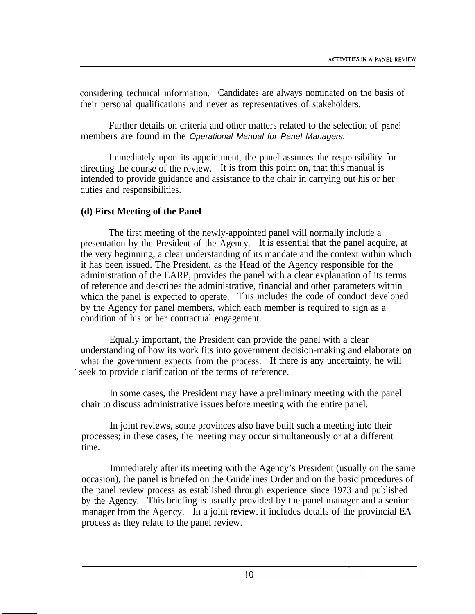considering technical information. Candidates are always nominated on the basis of their personal qualifications and never as representatives of stakeholders.

Further details on criteria and other matters related to the selection of panel members are found in the *Operational Manual for Panel Managers.*

Immediately upon its appointment, the panel assumes the responsibility for directing the course of the review. It is from this point on, that this manual is intended to provide guidance and assistance to the chair in carrying out his or her duties and responsibilities.

#### **(d) First Meeting of the Panel**

The first meeting of the newly-appointed panel will normally include a presentation by the President of the Agency. It is essential that the panel acquire, at the very beginning, a clear understanding of its mandate and the context within which it has been issued. The President, as the Head of the Agency responsible for the administration of the EARP, provides the panel with a clear explanation of its terms of reference and describes the administrative, financial and other parameters within which the panel is expected to operate. This includes the code of conduct developed by the Agency for panel members, which each member is required to sign as a condition of his or her contractual engagement.

Equally important, the President can provide the panel with a clear understanding of how its work fits into government decision-making and elaborate on what the government expects from the process. If there is any uncertainty, he will seek to provide clarification of the terms of reference.

In some cases, the President may have a preliminary meeting with the panel chair to discuss administrative issues before meeting with the entire panel.

In joint reviews, some provinces also have built such a meeting into their processes; in these cases, the meeting may occur simultaneously or at a different time.

Immediately after its meeting with the Agency's President (usually on the same occasion), the panel is briefed on the Guidelines Order and on the basic procedures of the panel review process as established through experience since 1973 and published by the Agency. This briefing is usually provided by the panel manager and a senior manager from the Agency. In a joint review, it includes details of the provincial EA process as they relate to the panel review.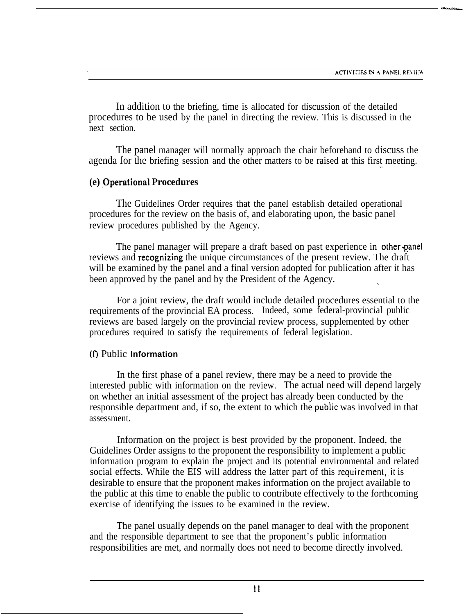In addition to the briefing, time is allocated for discussion of the detailed procedures to be used by the panel in directing the review. This is discussed in the next section.

The panel manager will normally approach the chair beforehand to discuss the agenda for the briefing session and the other matters to be raised at this first meeting.

#### **(e) ,Operational Procedures**

The Guidelines Order requires that the panel establish detailed operational procedures for the review on the basis of, and elaborating upon, the basic panel review procedures published by the Agency.

The panel manager will prepare a draft based on past experience in other panel reviews and recognizing the unique circumstances of the present review. The draft will be examined by the panel and a final version adopted for publication after it has been approved by the panel and by the President of the Agency.

For a joint review, the draft would include detailed procedures essential to the requirements of the provincial EA process. Indeed, some federal-provincial public reviews are based largely on the provincial review process, supplemented by other procedures required to satisfy the requirements of federal legislation.

#### (f) Public **Information**

In the first phase of a panel review, there may be a need to provide the interested public with information on the review. The actual need will depend largely on whether an initial assessment of the project has already been conducted by the responsible department and, if so, the extent to which the pubiic was involved in that assessment.

Information on the project is best provided by the proponent. Indeed, the Guidelines Order assigns to the proponent the responsibility to implement a public information program to explain the project and its potential environmental and related social effects. While the EIS will address the latter part of this requirement, it is desirable to ensure that the proponent makes information on the project available to the public at this time to enable the public to contribute effectively to the forthcoming exercise of identifying the issues to be examined in the review.

The panel usually depends on the panel manager to deal with the proponent and the responsible department to see that the proponent's public information responsibilities are met, and normally does not need to become directly involved.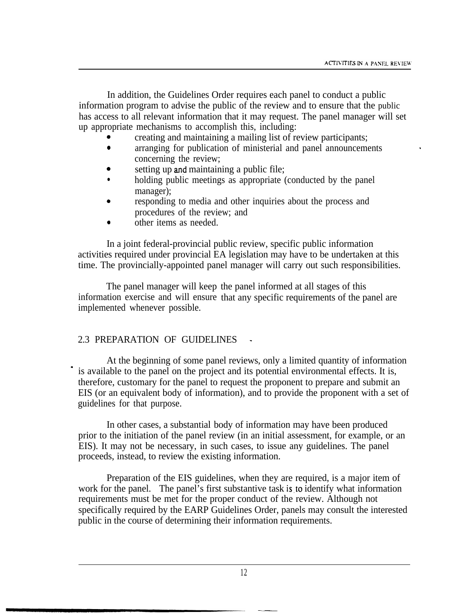In addition, the Guidelines Order requires each panel to conduct a public information program to advise the public of the review and to ensure that the public has access to all relevant information that it may request. The panel manager will set up appropriate mechanisms to accomplish this, including:

- <sup>0</sup> creating and maintaining a mailing list of review participants;
- arranging for publication of ministerial and panel announcements concerning the review;
- setting up and maintaining a public file;
- holding public meetings as appropriate (conducted by the panel) manager);
- 0 responding to media and other inquiries about the process and procedures of the review; and
- <sup>0</sup> other items as needed.

In a joint federal-provincial public review, specific public information activities required under provincial EA legislation may have to be undertaken at this time. The provincially-appointed panel manager will carry out such responsibilities.

The panel manager will keep the panel informed at all stages of this information exercise and will ensure that any specific requirements of the panel are implemented whenever possible.

#### 2.3 PREPARATION OF GUIDELINES

 $\blacksquare$ 

At the beginning of some panel reviews, only a limited quantity of information is available to the panel on the project and its potential environmental effects. It is, therefore, customary for the panel to request the proponent to prepare and submit an EIS (or an equivalent body of information), and to provide the proponent with a set of guidelines for that purpose.

In other cases, a substantial body of information may have been produced prior to the initiation of the panel review (in an initial assessment, for example, or an EIS). It may not be necessary, in such cases, to issue any guidelines. The panel proceeds, instead, to review the existing information.

Preparation of the EIS guidelines, when they are required, is a major item of work for the panel. The panel's first substantive task is to identify what information requirements must be met for the proper conduct of the review. Although not specifically required by the EARP Guidelines Order, panels may consult the interested public in the course of determining their information requirements.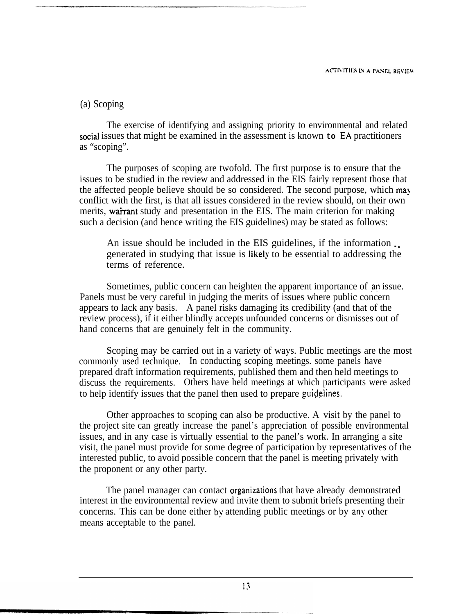#### (a) Scoping

The exercise of identifying and assigning priority to environmental and related social issues that might be examined in the assessment is known **to** EA practitioners as "scoping".

The purposes of scoping are twofold. The first purpose is to ensure that the issues to be studied in the review and addressed in the EIS fairly represent those that the affected people believe should be so considered. The second purpose, which may conflict with the first, is that all issues considered in the review should, on their own merits, wairant study and presentation in the EIS. The main criterion for making such a decision (and hence writing the EIS guidelines) may be stated as follows:

An issue should be included in the EIS guidelines, if the information . generated in studying that issue is likel? to be essential to addressing the terms of reference.

Sometimes, public concern can heighten the apparent importance of an issue. Panels must be very careful in judging the merits of issues where public concern appears to lack any basis. A panel risks damaging its credibility (and that of the review process), if it either blindly accepts unfounded concerns or dismisses out of hand concerns that are genuinely felt in the community.

Scoping may be carried out in a variety of ways. Public meetings are the most commonly used technique. In conducting scoping meetings. some panels have prepared draft information requirements, published them and then held meetings to discuss the requirements. Others have held meetings at which participants were asked to help identify issues that the panel then used to prepare guidelines.

Other approaches to scoping can also be productive. A visit by the panel to the project site can greatly increase the panel's appreciation of possible environmental issues, and in any case is virtually essential to the panel's work. In arranging a site visit, the panel must provide for some degree of participation by representatives of the interested public, to avoid possible concern that the panel is meeting privately with the proponent or any other party.

The panel manager can contact organizations that have already demonstrated interest in the environmental review and invite them to submit briefs presenting their concerns. This can be done either by attending public meetings or by any other means acceptable to the panel.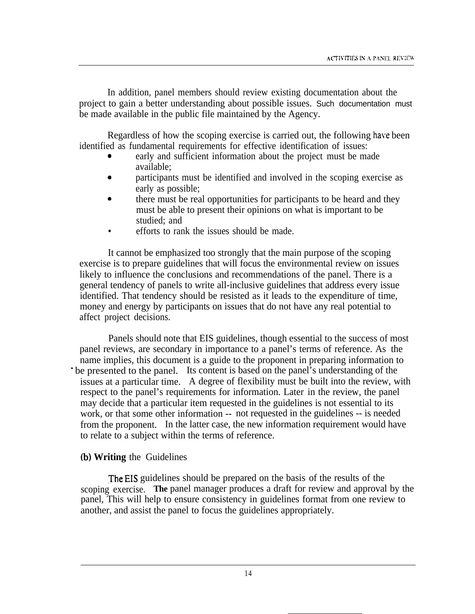In addition, panel members should review existing documentation about the project to gain a better understanding about possible issues. Such documentation must be made available in the public file maintained by the Agency.

Regardless of how the scoping exercise is carried out, the following have been identified as fundamental requirements for effective identification of issues:

- early and sufficient information about the project must be made available;
- participants must be identified and involved in the scoping exercise as early as possible;
- there must be real opportunities for participants to be heard and they must be able to present their opinions on what is important to be studied; and
- efforts to rank the issues should be made.

It cannot be emphasized too strongly that the main purpose of the scoping exercise is to prepare guidelines that will focus the environmental review on issues likely to influence the conclusions and recommendations of the panel. There is a general tendency of panels to write all-inclusive guidelines that address every issue identified. That tendency should be resisted as it leads to the expenditure of time, money and energy by participants on issues that do not have any real potential to affect project decisions.

Panels should note that EIS guidelines, though essential to the success of most panel reviews, are secondary in importance to a panel's terms of reference. As the name implies, this document is a guide to the proponent in preparing information to be presented to the panel. Its content is based on the panel's understanding of the issues at a particular time. A degree of flexibility must be built into the review, with respect to the panel's requirements for information. Later in the review, the panel may decide that a particular item requested in the guidelines is not essential to its work, or that some other information -- not requested in the guidelines -- is needed from the proponent. In the latter case, the new information requirement would have to relate to a subject within the terms of reference.

#### (b) **Writing** the Guidelines

.The EIS guidelines should be prepared on the basis of the results of the scoping exercise. **The** panel manager produces a draft for review and approval by the panel, This will help to ensure consistency in guidelines format from one review to another, and assist the panel to focus the guidelines appropriately.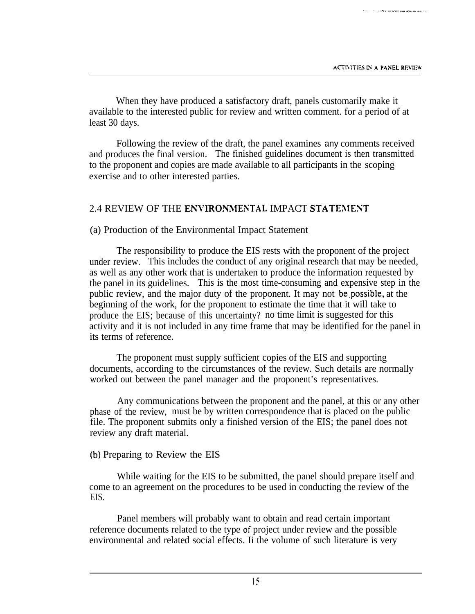When they have produced a satisfactory draft, panels customarily make it available to the interested public for review and written comment. for a period of at least 30 days.

Following the review of the draft, the panel examines any comments received and produces the final version. The finished guidelines document is then transmitted to the proponent and copies are made available to all participants in the scoping exercise and to other interested parties.

#### 2.4 REVIEW OF THE ENVIRONMENTAL IMPACT STATEMENT

#### (a) Production of the Environmental Impact Statement

The responsibility to produce the EIS rests with the proponent of the project under review. This includes the conduct of any original research that may be needed, as well as any other work that is undertaken to produce the information requested by the panel in its guidelines. This is the most time-consuming and expensive step in the public review, and the major duty of the proponent. It may not be.possible, at the beginning of the work, for the proponent to estimate the time that it will take to produce the EIS; because of this uncertainty? no time limit is suggested for this activity and it is not included in any time frame that may be identified for the panel in its terms of reference.

The proponent must supply sufficient copies of the EIS and supporting documents, according to the circumstances of the review. Such details are normally worked out between the panel manager and the proponent's representatives.

Any communications between the proponent and the panel, at this or any other phase of the review, must be by written correspondence that is placed on the public file. The proponent submits only a finished version of the EIS; the panel does not review any draft material.

#### (b) Preparing to Review the EIS

While waiting for the EIS to be submitted, the panel should prepare itself and come to an agreement on the procedures to be used in conducting the review of the EIS.

Panel members will probably want to obtain and read certain important reference documents related to the type of project under review and the possible environmental and related social effects. Ii the volume of such literature is very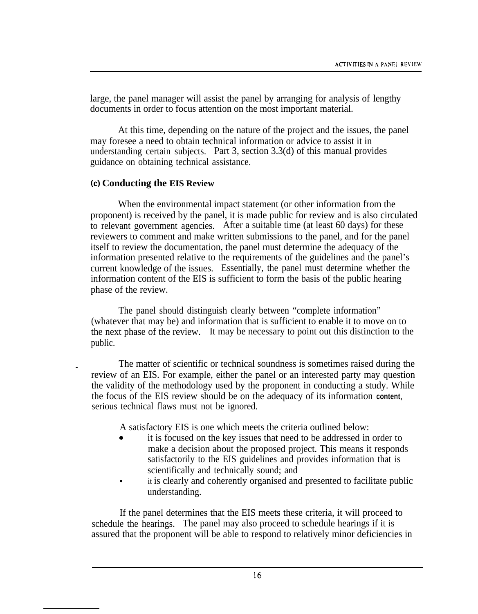large, the panel manager will assist the panel by arranging for analysis of lengthy documents in order to focus attention on the most important material.

At this time, depending on the nature of the project and the issues, the panel may foresee a need to obtain technical information or advice to assist it in understanding certain subjects. Part 3, section 3.3(d) of this manual provides guidance on obtaining technical assistance.

#### **(c) Conducting the EIS Review**

When the environmental impact statement (or other information from the proponent) is received by the panel, it is made public for review and is also circulated to relevant government agencies. After a suitable time (at least 60 days) for these reviewers to comment and make written submissions to the panel, and for the panel itself to review the documentation, the panel must determine the adequacy of the information presented relative to the requirements of the guidelines and the panel's current knowledge of the issues. Essentially, the panel must determine whether the information content of the EIS is sufficient to form the basis of the public hearing phase of the review.

The panel should distinguish clearly between "complete information" (whatever that may be) and information that is sufficient to enable it to move on to the next phase of the review. It may be necessary to point out this distinction to the public.

The matter of scientific or technical soundness is sometimes raised during the review of an EIS. For example, either the panel or an interested party may question the validity of the methodology used by the proponent in conducting a study. While the focus of the EIS review should be on the adequacy of its information **content,** serious technical flaws must not be ignored.

A satisfactory EIS is one which meets the criteria outlined below:

- it is focused on the key issues that need to be addressed in order to make a decision about the proposed project. This means it responds satisfactorily to the EIS guidelines and provides information that is scientifically and technically sound; and
- it is clearly and coherently organised and presented to facilitate public understanding.

If the panel determines that the EIS meets these criteria, it will proceed to schedule the hearings. The panel may also proceed to schedule hearings if it is assured that the proponent will be able to respond to relatively minor deficiencies in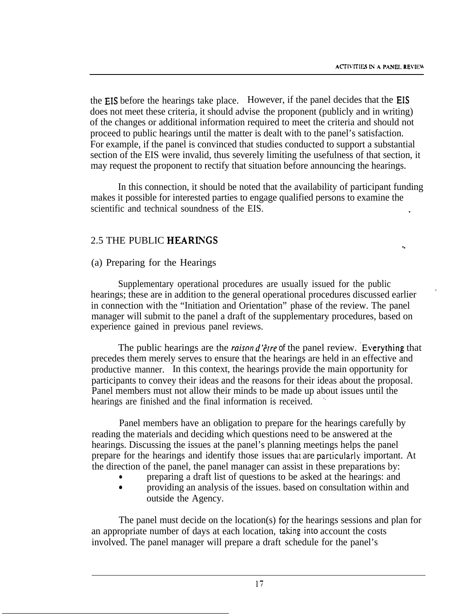the EIS before the hearings take place. However, if the panel decides that the EIS does not meet these criteria, it should advise the proponent (publicly and in writing) of the changes or additional information required to meet the criteria and should not proceed to public hearings until the matter is dealt with to the panel's satisfaction. For example, if the panel is convinced that studies conducted to support a substantial section of the EIS were invalid, thus severely limiting the usefulness of that section, it may request the proponent to rectify that situation before announcing the hearings.

In this connection, it should be noted that the availability of participant funding makes it possible for interested parties to engage qualified persons to examine the scientific and technical soundness of the EIS.

#### 2.5 THE PUBLIC HEARIXGS

#### (a) Preparing for the Hearings

Supplementary operational procedures are usually issued for the public hearings; these are in addition to the general operational procedures discussed earlier in connection with the "Initiation and Orientation" phase of the review. The panel manager will submit to the panel a draft of the supplementary procedures, based on experience gained in previous panel reviews.

The public hearings are the *raison d'être of* the panel review. Everything that precedes them merely serves to ensure that the hearings are held in an effective and productive manner. In this context, the hearings provide the main opportunity for participants to convey their ideas and the reasons for their ideas about the proposal. Panel members must not allow their minds to be made up about issues until the hearings are finished and the final information is received.

Panel members have an obligation to prepare for the hearings carefully by reading the materials and deciding which questions need to be answered at the hearings. Discussing the issues at the panel's planning meetings helps the panel prepare for the hearings and identify those issues that are particularlx important. At the direction of the panel, the panel manager can assist in these preparations by:

<sup>0</sup> preparing a draft list of questions to be asked at the hearings: and <sup>0</sup> providing an analysis of the issues. based on consultation within and outside the Agency.

The panel must decide on the location(s) for the hearings sessions and plan for an appropriate number of days at each location, taking.into account the costs involved. The panel manager will prepare a draft schedule for the panel's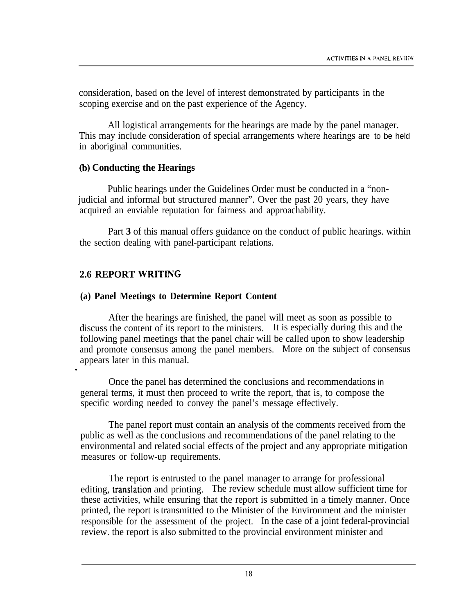consideration, based on the level of interest demonstrated by participants in the scoping exercise and on the past experience of the Agency.

All logistical arrangements for the hearings are made by the panel manager. This may include consideration of special arrangements where hearings are to be held in aboriginal communities.

#### **(b) Conducting the Hearings**

Public hearings under the Guidelines Order must be conducted in a "nonjudicial and informal but structured manner". Over the past 20 years, they have acquired an enviable reputation for fairness and approachability.

Part **3** of this manual offers guidance on the conduct of public hearings. within the section dealing with panel-participant relations.

## **2.6 REPORT WRITIYG**

 $\blacksquare$ 

#### **(a) Panel Meetings to Determine Report Content**

After the hearings are finished, the panel will meet as soon as possible to discuss the content of its report to the ministers. It is especially during this and the following panel meetings that the panel chair will be called upon to show leadership and promote consensus among the panel members. More on the subject of consensus appears later in this manual.

Once the panel has determined the conclusions and recommendations in general terms, it must then proceed to write the report, that is, to compose the specific wording needed to convey the panel's message effectively.

The panel report must contain an analysis of the comments received from the public as well as the conclusions and recommendations of the panel relating to the environmental and related social effects of the project and any appropriate mitigation measures or follow-up requirements.

The report is entrusted to the panel manager to arrange for professional editing, translation and printing. The review schedule must allow sufficient time for these activities, while ensuring that the report is submitted in a timely manner. Once printed, the report is transmitted to the Minister of the Environment and the minister responsible for the assessment of the project. In the case of a joint federal-provincial review. the report is also submitted to the provincial environment minister and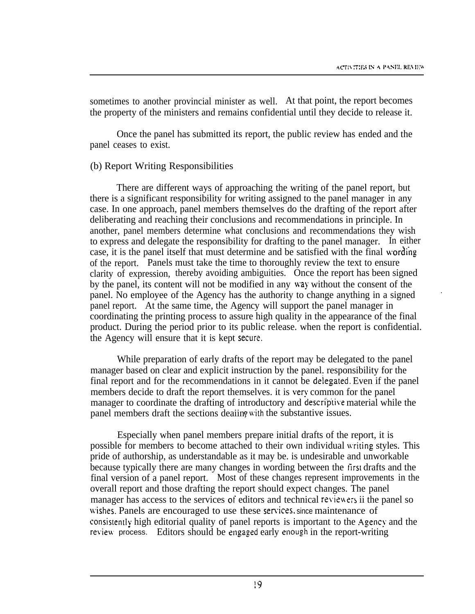sometimes to another provincial minister as well. At that point, the report becomes the property of the ministers and remains confidential until they decide to release it.

Once the panel has submitted its report, the public review has ended and the panel ceases to exist.

#### (b) Report Writing Responsibilities

There are different ways of approaching the writing of the panel report, but there is a significant responsibility for writing assigned to the panel manager in any case. In one approach, panel members themselves do the drafting of the report after deliberating and reaching their conclusions and recommendations in principle. In another, panel members determine what conclusions and recommendations they wish to express and delegate the responsibility for drafting to the panel manager. In either case, it is the panel itself that must determine and be satisfied with the final wording of the report. Panels must take the time to thoroughly review the text to ensure clarity of expression, thereby avoiding ambiguities. Once the report has been signed by the panel, its content will not be modified in any way without the consent of the panel. No employee of the Agency has the authority to change anything in a signed panel report. At the same time, the Agency will support the panel manager in coordinating the printing process to assure high quality in the appearance of the final product. During the period prior to its public release. when the report is confidential. the Agency will ensure that it is kept secure.

While preparation of early drafts of the report may be delegated to the panel manager based on clear and explicit instruction by the panel. responsibility for the final report and for the recommendations in it cannot be delegated. Even if the panel members decide to draft the report themselves. it is very common for the panel manager to coordinate the drafting of introductory and descriptive material while the panel members draft the sections deaiin, with the substantive issues.

Especially when panel members prepare initial drafts of the report, it is possible for members to become attached to their own individual \iriting styles. This pride of authorship, as understandable as it may be. is undesirable and unworkable because typically there are many changes in wording between the first drafts and the final version of a panel report. Most of these changes represent improvements in the overall report and those drafting the report should expect changes. The panel manager has access to the services of editors and technical reviewers ii the panel so wishes. Panels are encouraged to use these services, since maintenance of consistently high editorial quality of panel reports is important to the Agency and the review process. Editors should be engaged early enough in the report-writing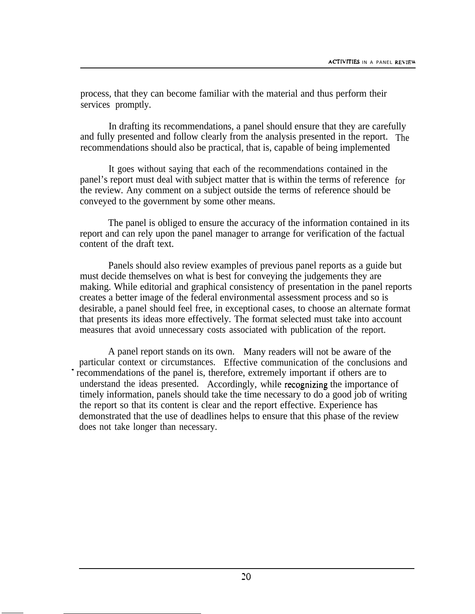process, that they can become familiar with the material and thus perform their services promptly.

In drafting its recommendations, a panel should ensure that they are carefully and fully presented and follow clearly from the analysis presented in the report. The recommendations should also be practical, that is, capable of being implemented

It goes without saying that each of the recommendations contained in the panel's report must deal with subject matter that is within the terms of reference for the review. Any comment on a subject outside the terms of reference should be conveyed to the government by some other means.

The panel is obliged to ensure the accuracy of the information contained in its report and can rely upon the panel manager to arrange for verification of the factual content of the draft text.

Panels should also review examples of previous panel reports as a guide but must decide themselves on what is best for conveying the judgements they are making. While editorial and graphical consistency of presentation in the panel reports creates a better image of the federal environmental assessment process and so is desirable, a panel should feel free, in exceptional cases, to choose an alternate format that presents its ideas more effectively. The format selected must take into account measures that avoid unnecessary costs associated with publication of the report.

A panel report stands on its own. Many readers will not be aware of the particular context or circumstances. Effective communication of the conclusions and recommendations of the panel is, therefore, extremely important if others are to understand the ideas presented. Accordingly, while recognizing the importance of timely information, panels should take the time necessary to do a good job of writing the report so that its content is clear and the report effective. Experience has demonstrated that the use of deadlines helps to ensure that this phase of the review does not take longer than necessary.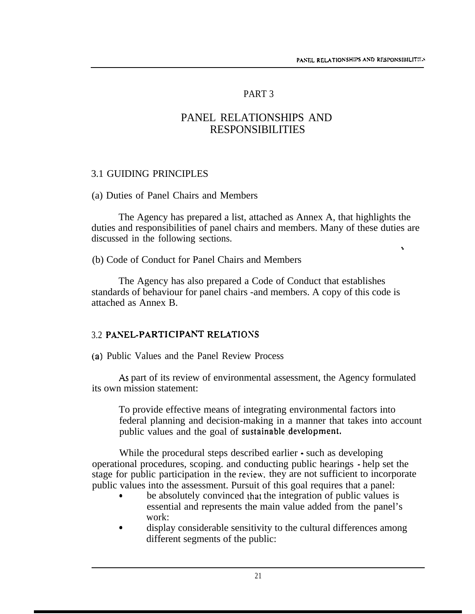$\ddot{\phantom{a}}$ 

#### PART 3

## PANEL RELATIONSHIPS AND RESPONSIBILITIES

#### <span id="page-24-0"></span>3.1 GUIDING PRINCIPLES

#### (a) Duties of Panel Chairs and Members

The Agency has prepared a list, attached as Annex A, that highlights the duties and responsibilities of panel chairs and members. Many of these duties are discussed in the following sections.

(b) Code of Conduct for Panel Chairs and Members

The Agency has also prepared a Code of Conduct that establishes standards of behaviour for panel chairs -and members. A copy of this code is attached as Annex B.

#### 3.2 PANEL-PARTICIPANT RELATIONS

**ia>** Public Values and the Panel Review Process

As part of its review of environmental assessment, the Agency formulated its own mission statement:

To provide effective means of integrating environmental factors into federal planning and decision-making in a manner that takes into account public values and the goal of sustainable development.

While the procedural steps described earlier - such as developing operational procedures, scoping. and conducting public hearings - help set the stage for public participation in the review. they are not sufficient to incorporate public values into the assessment. Pursuit of this goal requires that a panel:

- be absolutely convinced that the integration of public values is essential and represents the main value added from the panel's work:
- display considerable sensitivity to the cultural differences among different segments of the public: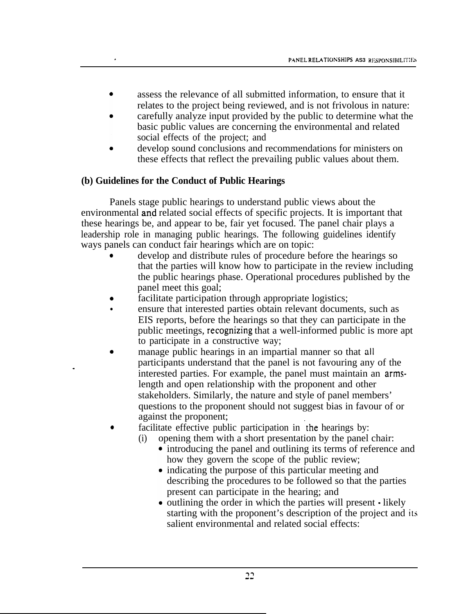- assess the relevance of all submitted information, to ensure that it relates to the project being reviewed, and is not frivolous in nature:
- carefully analyze input provided by the public to determine what the basic public values are concerning the environmental and related social effects of the project; and
- develop sound conclusions and recommendations for ministers on these effects that reflect the prevailing public values about them.

## **(b) Guidelines for the Conduct of Public Hearings**

Panels stage public hearings to understand public views about the environmental and related social effects of specific projects. It is important that these hearings be, and appear to be, fair yet focused. The panel chair plays a leadership role in managing public hearings. The following guidelines identify ways panels can conduct fair hearings which are on topic:

- develop and distribute rules of procedure before the hearings so that the parties will know how to participate in the review including the public hearings phase. Operational procedures published by the panel meet this goal;
- facilitate participation through appropriate logistics;
- ensure that interested parties obtain relevant documents, such as EIS reports, before the hearings so that they can participate in the public meetings, recognizing that a well-informed public is more apt to participate in a constructive way;
- manage public hearings in an impartial manner so that all participants understand that the panel is not favouring any of the interested parties. For example, the panel must maintain an armslength and open relationship with the proponent and other stakeholders. Similarly, the nature and style of panel members' questions to the proponent should not suggest bias in favour of or against the proponent;
- facilitate effective public participation in the hearings by:
	- (i) opening them with a short presentation by the panel chair:
		- introducing the panel and outlining its terms of reference and how they govern the scope of the public review;
		- indicating the purpose of this particular meeting and describing the procedures to be followed so that the parties present can participate in the hearing; and
		- outlining the order in which the parties will present likely starting with the proponent's description of the project and its salient environmental and related social effects: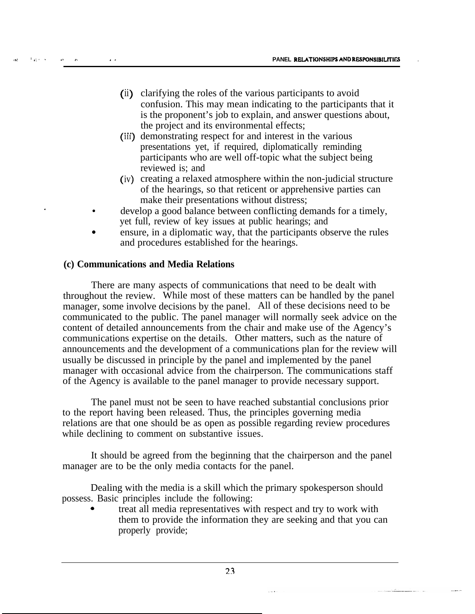- (ii) clarifying the roles of the various participants to avoid confusion. This may mean indicating to the participants that it is the proponent's job to explain, and answer questions about, the project and its environmental effects;
- .I. (iii) demonstrating respect for and interest in the various presentations yet, if required, diplomatically reminding participants who are well off-topic what the subject being reviewed is; and
- **( <sup>&</sup>gt;** iv creating a relaxed atmosphere within the non-judicial structure of the hearings, so that reticent or apprehensive parties can make their presentations without distress;
- . The contract of  $\bullet$ develop a good balance between conflicting demands for a timely, yet full, review of key issues at public hearings; and
	- 0 ensure, in a diplomatic way, that the participants observe the rules and procedures established for the hearings.

#### **(c) Communications and Media Relations**

There are many aspects of communications that need to be dealt with throughout the review. While most of these matters can be handled by the panel manager, some involve decisions by the panel. All of these decisions need to be communicated to the public. The panel manager will normally seek advice on the content of detailed announcements from the chair and make use of the Agency's communications expertise on the details. Other matters, such as the nature of announcements and the development of a communications plan for the review will usually be discussed in principle by the panel and implemented by the panel manager with occasional advice from the chairperson. The communications staff of the Agency is available to the panel manager to provide necessary support.

The panel must not be seen to have reached substantial conclusions prior to the report having been released. Thus, the principles governing media relations are that one should be as open as possible regarding review procedures while declining to comment on substantive issues.

It should be agreed from the beginning that the chairperson and the panel manager are to be the only media contacts for the panel.

Dealing with the media is a skill which the primary spokesperson should possess. Basic principles include the following:

<sup>0</sup> treat all media representatives with respect and try to work with them to provide the information they are seeking and that you can properly provide;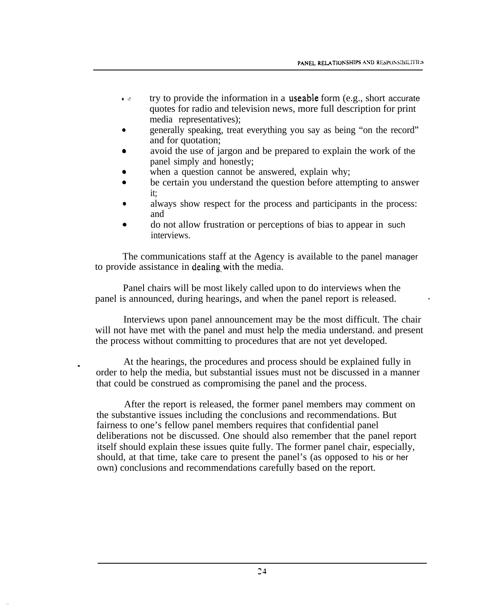- $\bullet \bullet$  try to provide the information in a useable form (e.g., short accurate quotes for radio and television news, more full description for print media representatives);
- generally speaking, treat everything you say as being "on the record" and for quotation;
- avoid the use of jargon and be prepared to explain the work of the panel simply and honestly;
- when a question cannot be answered, explain why;
- be certain you understand the question before attempting to answer it;
- always show respect for the process and participants in the process: and
- <sup>a</sup> do not allow frustration or perceptions of bias to appear in such interviews.

The communications staff at the Agency is available to the panel manager to provide assistance in dealing with the media.

Panel chairs will be most likely called upon to do interviews when the panel is announced, during hearings, and when the panel report is released.

Interviews upon panel announcement may be the most difficult. The chair will not have met with the panel and must help the media understand, and present the process without committing to procedures that are not yet developed.

. At the hearings, the procedures and process should be explained fully in order to help the media, but substantial issues must not be discussed in a manner that could be construed as compromising the panel and the process.

After the report is released, the former panel members may comment on the substantive issues including the conclusions and recommendations. But fairness to one's fellow panel members requires that confidential panel deliberations not be discussed. One should also remember that the panel report itself should explain these issues quite fully. The former panel chair, especially, should, at that time, take care to present the panel's (as opposed to his or her own) conclusions and recommendations carefully based on the report.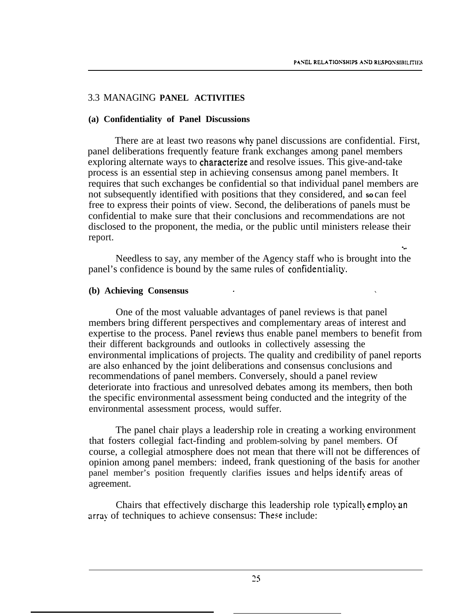#### 3.3 MANAGING **PANEL ACTIVITIES**

#### **(a) Confidentiality of Panel Discussions**

There are at least two reasons why panel discussions are confidential. First, panel deliberations frequently feature frank exchanges among panel members exploring alternate ways to characterize and resolve issues. This give-and-take process is an essential step in achieving consensus among panel members. It requires that such exchanges be confidential so that individual panel members are not subsequently identified with positions that they considered, and so can feel free to express their points of view. Second, the deliberations of panels must be confidential to make sure that their conclusions and recommendations are not disclosed to the proponent, the media, or the public until ministers release their report.

Needless to say, any member of the Agency staff who is brought into the panel's confidence is bound by the same rules of confidentialitv..

#### **(b) Achieving Consensus** .

One of the most valuable advantages of panel reviews is that panel members bring different perspectives and complementary areas of interest and expertise to the process. Panel reviews thus enable panel members to benefit from their different backgrounds and outlooks in collectively assessing the environmental implications of projects. The quality and credibility of panel reports are also enhanced by the joint deliberations and consensus conclusions and recommendations of panel members. Conversely, should a panel review deteriorate into fractious and unresolved debates among its members, then both the specific environmental assessment being conducted and the integrity of the environmental assessment process, would suffer.

The panel chair plays a leadership role in creating a working environment that fosters collegial fact-finding and problem-solving by panel members. Of course, a collegial atmosphere does not mean that there will not be differences of opinion among panel members: indeed, frank questioning of the basis for another panel member's position frequently clarifies issues and helps identify areas of agreement.

Chairs that effectively discharge this leadership role typically employ an array of techniques to achieve consensus: These include: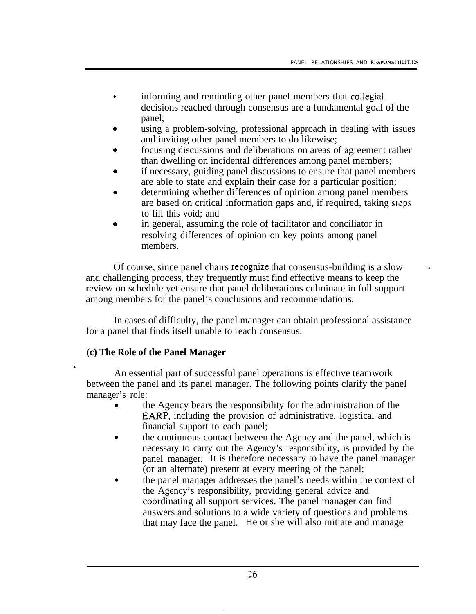-

- informing and reminding other panel members that collegial decisions reached through consensus are a fundamental goal of the panel;
- using a problem-solving, professional approach in dealing with issues and inviting other panel members to do likewise;
- focusing discussions and deliberations on areas of agreement rather than dwelling on incidental differences among panel members;
- <sup>0</sup> if necessary, guiding panel discussions to ensure that panel members are able to state and explain their case for a particular position;
- determining whether differences of opinion among panel members are based on critical information gaps and, if required, taking steps to fill this void; and
- in general, assuming the role of facilitator and conciliator in resolving differences of opinion on key points among panel members.

Of course, since panel chairs recognize that consensus-building is a slow and challenging process, they frequently must find effective means to keep the review on schedule yet ensure that panel deliberations culminate in full support among members for the panel's conclusions and recommendations.

In cases of difficulty, the panel manager can obtain professional assistance for a panel that finds itself unable to reach consensus.

#### **(c) The Role of the Panel Manager**

An essential part of successful panel operations is effective teamwork between the panel and its panel manager. The following points clarify the panel manager's role:

- <sup>0</sup> the Agency bears the responsibility for the administration of the EARP, including the provision of administrative, logistical and financial support to each panel;
- the continuous contact between the Agency and the panel, which is necessary to carry out the Agency's responsibility, is provided by the panel manager. It is therefore necessary to have the panel manager (or an alternate) present at every meeting of the panel;
- <sup>0</sup> the panel manager addresses the panel's needs within the context of the Agency's responsibility, providing general advice and coordinating all support services. The panel manager can find answers and solutions to a wide variety of questions and problems that may face the panel. He or she will also initiate and manage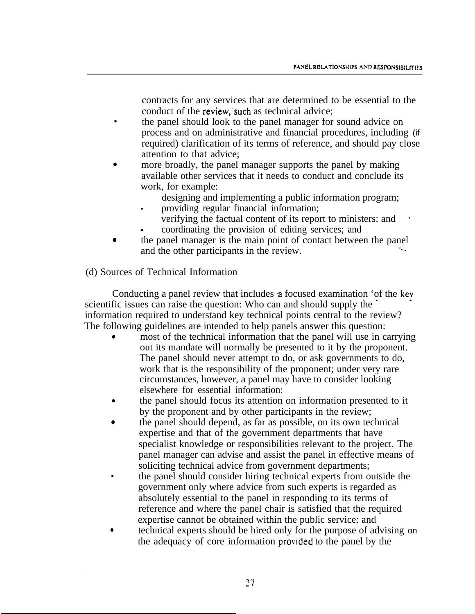contracts for any services that are determined to be essential to the conduct of the review, such as technical advice;

- the panel should look to the panel manager for sound advice on process and on administrative and financial procedures, including (if required) clarification of its terms of reference, and should pay close attention to that advice;
- more broadly, the panel manager supports the panel by making available other services that it needs to conduct and conclude its work, for example:
	- designing and implementing a public information program;
	- providing regular financial information; verifying the factual content of its report to ministers: and ' \_ coordinating the provision of editing services; and
- 0 the panel manager is the main point of contact between the panel and the other participants in the review.
- (d) Sources of Technical Information

Conducting a panel review that includes a focused examination 'of the key scientific issues can raise the question: Who can and should supply the information required to understand key technical points central to the review? The following guidelines are intended to help panels answer this question:

- most of the technical information that the panel will use in carrying out its mandate will normally be presented to it by the proponent. The panel should never attempt to do, or ask governments to do, work that is the responsibility of the proponent; under very rare circumstances, however, a panel may have to consider looking elsewhere for essential information:
- <sup>0</sup> the panel should focus its attention on information presented to it by the proponent and by other participants in the review;
- <sup>0</sup> the panel should depend, as far as possible, on its own technical expertise and that of the government departments that have specialist knowledge or responsibilities relevant to the project. The panel manager can advise and assist the panel in effective means of soliciting technical advice from government departments;
- <sup>l</sup> the panel should consider hiring technical experts from outside the government only where advice from such experts is regarded as absolutely essential to the panel in responding to its terms of reference and where the panel chair is satisfied that the required expertise cannot be obtained within the public service: and
- <sup>0</sup> technical experts should be hired only for the purpose of advising on the adequacy of core information **prokkd** to the panel by the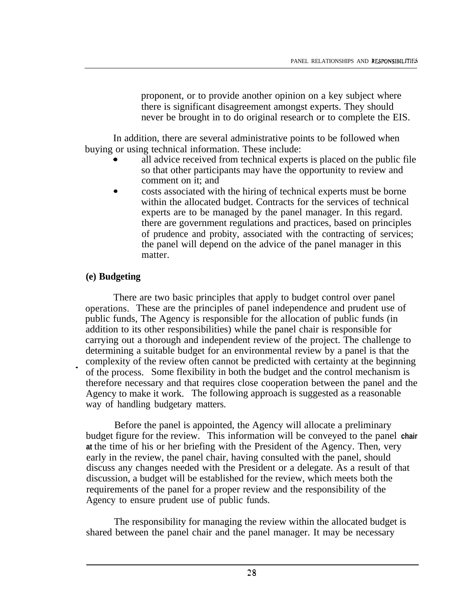proponent, or to provide another opinion on a key subject where there is significant disagreement amongst experts. They should never be brought in to do original research or to complete the EIS.

In addition, there are several administrative points to be followed when buying or using technical information. These include:

- all advice received from technical experts is placed on the public file so that other participants may have the opportunity to review and comment on it; and
- <sup>0</sup> costs associated with the hiring of technical experts must be borne within the allocated budget. Contracts for the services of technical experts are to be managed by the panel manager. In this regard. there are government regulations and practices, based on principles of prudence and probity, associated with the contracting of services; the panel will depend on the advice of the panel manager in this matter.

#### **(e) Budgeting**

.

There are two basic principles that apply to budget control over panel operations. These are the principles of panel independence and prudent use of public funds, The Agency is responsible for the allocation of public funds (in addition to its other responsibilities) while the panel chair is responsible for carrying out a thorough and independent review of the project. The challenge to determining a suitable budget for an environmental review by a panel is that the complexity of the review often cannot be predicted with certainty at the beginning of the process. Some flexibility in both the budget and the control mechanism is therefore necessary and that requires close cooperation between the panel and the Agency to make it work. The following approach is suggested as a reasonable way of handling budgetary matters.

Before the panel is appointed, the Agency will allocate a preliminary budget figure for the review. This information will be conveyed to the panel **chair at** the time of his or her briefing with the President of the Agency. Then, very early in the review, the panel chair, having consulted with the panel, should discuss any changes needed with the President or a delegate. As a result of that discussion, a budget will be established for the review, which meets both the requirements of the panel for a proper review and the responsibility of the Agency to ensure prudent use of public funds.

The responsibility for managing the review within the allocated budget is shared between the panel chair and the panel manager. It may be necessary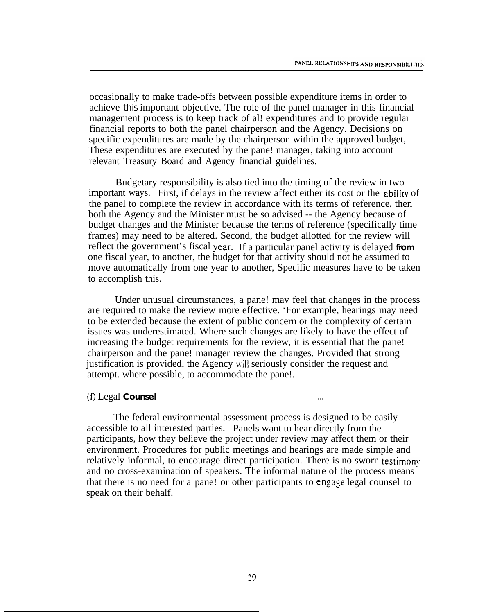occasionally to make trade-offs between possible expenditure items in order to achieve this important objective. The role of the panel manager in this financial management process is to keep track of al! expenditures and to provide regular financial reports to both the panel chairperson and the Agency. Decisions on specific expenditures are made by the chairperson within the approved budget, These expenditures are executed by the pane! manager, taking into account relevant Treasury Board and Agency financial guidelines.

Budgetary responsibility is also tied into the timing of the review in two important ways. First, if delays in the review affect either its cost or the abilitv of the panel to complete the review in accordance with its terms of reference, then both the Agency and the Minister must be so advised -- the Agency because of budget changes and the Minister because the terms of reference (specifically time frames) may need to be altered. Second, the budget allotted for the review will reflect the government's fiscal year. If a particular panel activity is delayed **from** one fiscal year, to another, the budget for that activity should not be assumed to move automatically from one year to another, Specific measures have to be taken to accomplish this.

Under unusual circumstances, a pane! mav feel that changes in the process are required to make the review more effective. 'For example, hearings may need to be extended because the extent of public concern or the complexity of certain issues was underestimated. Where such changes are likely to have the effect of increasing the budget requirements for the review, it is essential that the pane! chairperson and the pane! manager review the changes. Provided that strong justification is provided, the Agency will seriously consider the request and attempt. where possible, to accommodate the pane!.

#### (0 Legal **Counsel . . .**

The federal environmental assessment process is designed to be easily accessible to all interested parties. Panels want to hear directly from the participants, how they believe the project under review may affect them or their environment. Procedures for public meetings and hearings are made simple and relatively informal, to encourage direct participation. There is no sworn testimonv. and no cross-examination of speakers. The informal nature of the process means that there is no need for a pane! or other participants to engage legal counsel to speak on their behalf.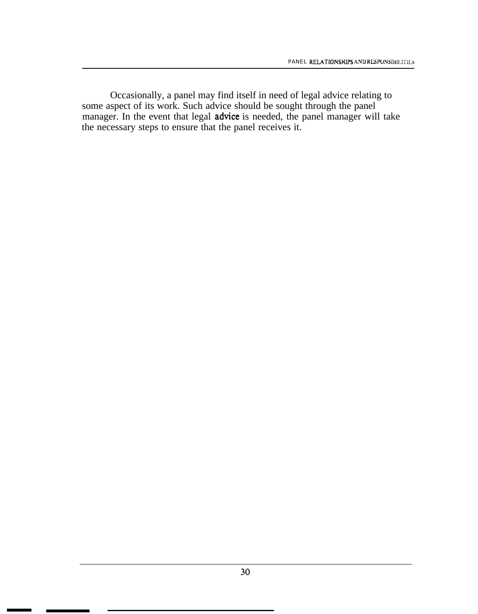Occasionally, a panel may find itself in need of legal advice relating to some aspect of its work. Such advice should be sought through the panel manager. In the event that legal advice is needed, the panel manager will take the necessary steps to ensure that the panel receives it.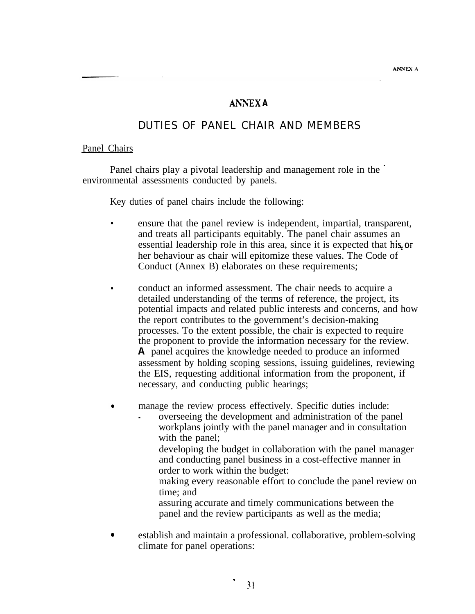# Ah?r;EX **A**

# DUTIES OF PANEL CHAIR AND MEMBERS

#### <span id="page-34-0"></span>Panel Chairs

Panel chairs play a pivotal leadership and management role in the ' environmental assessments conducted by panels.

Key duties of panel chairs include the following:

- <sup>l</sup> ensure that the panel review is independent, impartial, transparent, and treats all participants equitably. The panel chair assumes an essential leadership role in this area, since it is expected that his or her behaviour as chair will epitomize these values. The Code of Conduct (Annex B) elaborates on these requirements;
- <sup>l</sup> conduct an informed assessment. The chair needs to acquire a detailed understanding of the terms of reference, the project, its potential impacts and related public interests and concerns, and how the report contributes to the government's decision-making processes. To the extent possible, the chair is expected to require the proponent to provide the information necessary for the review. **A** panel acquires the knowledge needed to produce an informed assessment by holding scoping sessions, issuing guidelines, reviewing the EIS, requesting additional information from the proponent, if necessary, and conducting public hearings;
- manage the review process effectively. Specific duties include: \_ overseeing the development and administration of the panel
	- workplans jointly with the panel manager and in consultation with the panel;
		- developing the budget in collaboration with the panel manager and conducting panel business in a cost-effective manner in order to work within the budget:
		- making every reasonable effort to conclude the panel review on time; and
		- assuring accurate and timely communications between the panel and the review participants as well as the media;
- <sup>0</sup> establish and maintain a professional. collaborative, problem-solving climate for panel operations:

.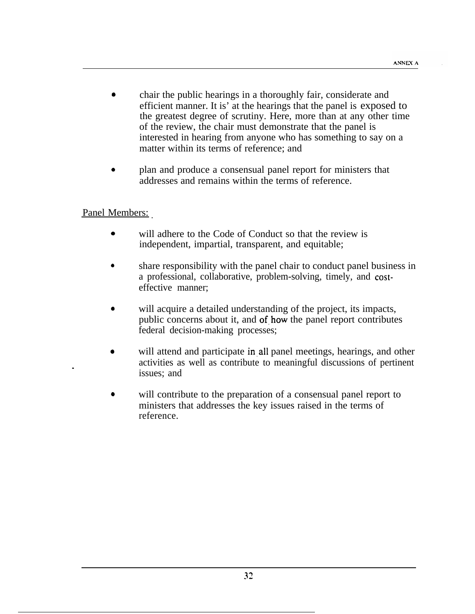- <sup>0</sup> chair the public hearings in a thoroughly fair, considerate and efficient manner. It is' at the hearings that the panel is exposed to the greatest degree of scrutiny. Here, more than at any other time of the review, the chair must demonstrate that the panel is interested in hearing from anyone who has something to say on a matter within its terms of reference; and
- <sup>0</sup> plan and produce a consensual panel report for ministers that addresses and remains within the terms of reference.

#### Panel Members:

- <sup>0</sup> will adhere to the Code of Conduct so that the review is independent, impartial, transparent, and equitable;
- <sup>0</sup> share responsibility with the panel chair to conduct panel business in a professional, collaborative, problem-solving, timely, and costeffective manner;
- will acquire a detailed understanding of the project, its impacts, public concerns about it, and of.how the panel report contributes federal decision-making processes;
- will attend and participate in all panel meetings, hearings, and other activities as well as contribute to meaningful discussions of pertinent issues; and
- will contribute to the preparation of a consensual panel report to ministers that addresses the key issues raised in the terms of reference.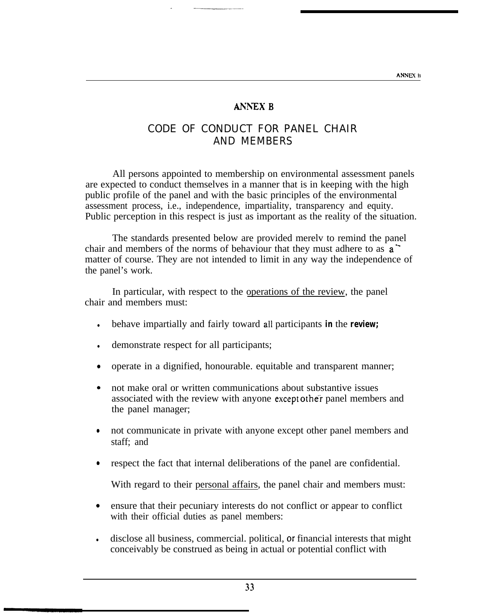#### **ANNEX B**

## CODE OF CONDUCT FOR PANEL CHAIR AND MEMBERS

<span id="page-36-0"></span>All persons appointed to membership on environmental assessment panels are expected to conduct themselves in a manner that is in keeping with the high public profile of the panel and with the basic principles of the environmental assessment process, i.e., independence, impartiality, transparency and equity. Public perception in this respect is just as important as the reality of the situation.

The standards presented below are provided merelv to remind the panel chair and members of the norms of behaviour that they must adhere to as  $a^{\dagger}$ matter of course. They are not intended to limit in any way the independence of the panel's work.

In particular, with respect to the operations of the review, the panel chair and members must:

- **.** behave impartially and fairly toward all participants **in** the **review;**
- In demonstrate respect for all participants;
- operate in a dignified, honourable. equitable and transparent manner;
- <sup>0</sup> not make oral or written communications about substantive issues associated with the review with anyone except other panel members and the panel manager;
- <sup>0</sup> not communicate in private with anyone except other panel members and staff; and
- <sup>0</sup> respect the fact that internal deliberations of the panel are confidential.

With regard to their personal affairs, the panel chair and members must:

- <sup>0</sup> ensure that their pecuniary interests do not conflict or appear to conflict with their official duties as panel members:
- In disclose all business, commercial. political, or financial interests that might conceivably be construed as being in actual or potential conflict with